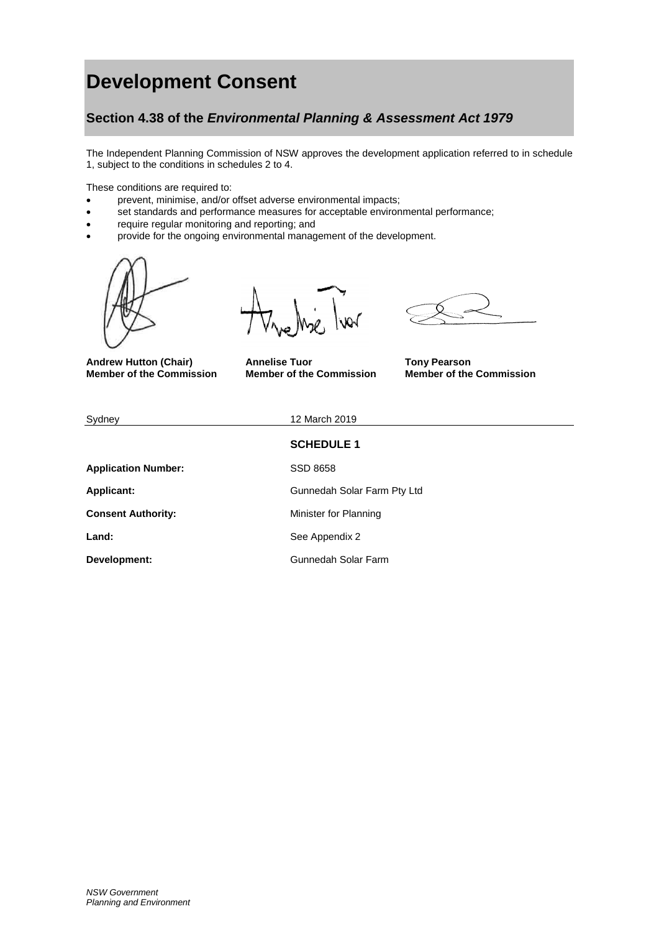# **Development Consent**

# **Section 4.38 of the** *Environmental Planning & Assessment Act 1979*

The Independent Planning Commission of NSW approves the development application referred to in schedule 1, subject to the conditions in schedules 2 to 4.

These conditions are required to:

- prevent, minimise, and/or offset adverse environmental impacts;
- set standards and performance measures for acceptable environmental performance;
- require regular monitoring and reporting; and
- provide for the ongoing environmental management of the development.



**Member of the Commission** 

ior

**Andrew Hutton (Chair) Annelise Tuor Tony Pearson**

| Sydney                     | 12 March 2019               |
|----------------------------|-----------------------------|
|                            | <b>SCHEDULE 1</b>           |
| <b>Application Number:</b> | <b>SSD 8658</b>             |
| <b>Applicant:</b>          | Gunnedah Solar Farm Pty Ltd |
| <b>Consent Authority:</b>  | Minister for Planning       |
| Land:                      | See Appendix 2              |
| Development:               | Gunnedah Solar Farm         |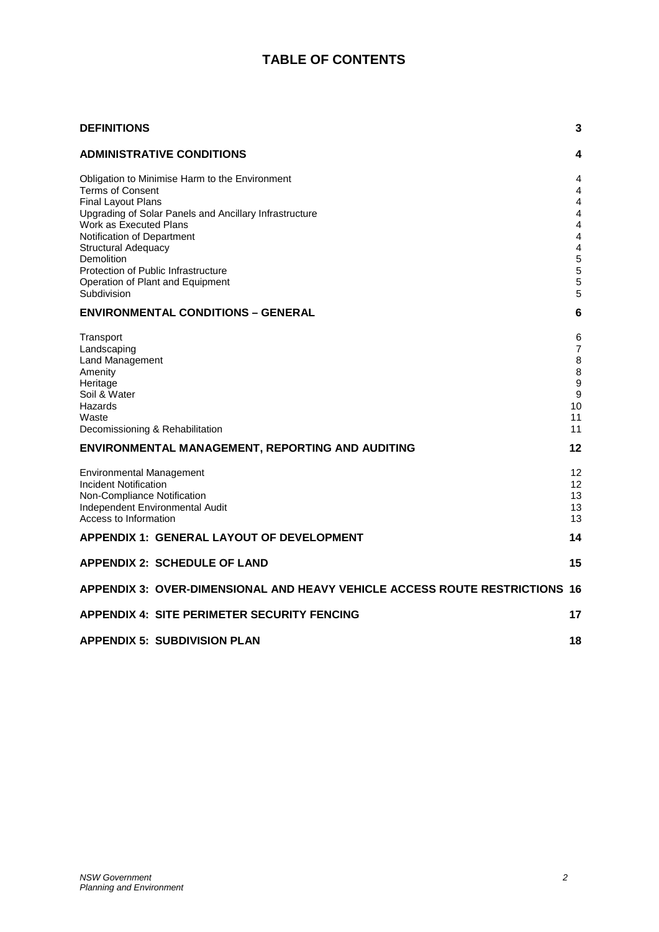# **TABLE OF CONTENTS**

| <b>DEFINITIONS</b>                                                                                                                                  | 3                                                         |
|-----------------------------------------------------------------------------------------------------------------------------------------------------|-----------------------------------------------------------|
| <b>ADMINISTRATIVE CONDITIONS</b>                                                                                                                    | 4                                                         |
| Obligation to Minimise Harm to the Environment<br><b>Terms of Consent</b><br><b>Final Layout Plans</b>                                              | 4<br>4<br>$\overline{4}$                                  |
| Upgrading of Solar Panels and Ancillary Infrastructure<br>Work as Executed Plans<br>Notification of Department<br><b>Structural Adequacy</b>        | 4<br>$\overline{4}$<br>4<br>$\overline{4}$                |
| <b>Demolition</b><br>Protection of Public Infrastructure<br>Operation of Plant and Equipment<br>Subdivision                                         | 5<br>5<br>5<br>5                                          |
| <b>ENVIRONMENTAL CONDITIONS - GENERAL</b>                                                                                                           | 6                                                         |
| Transport<br>Landscaping<br>Land Management<br>Amenity<br>Heritage<br>Soil & Water<br>Hazards<br>Waste<br>Decomissioning & Rehabilitation           | 6<br>$\overline{7}$<br>8<br>8<br>9<br>9<br>10<br>11<br>11 |
| ENVIRONMENTAL MANAGEMENT, REPORTING AND AUDITING                                                                                                    | 12                                                        |
| <b>Environmental Management</b><br>Incident Notification<br>Non-Compliance Notification<br>Independent Environmental Audit<br>Access to Information | 12<br>12<br>13<br>13<br>13                                |
| <b>APPENDIX 1: GENERAL LAYOUT OF DEVELOPMENT</b>                                                                                                    | 14                                                        |
| <b>APPENDIX 2: SCHEDULE OF LAND</b>                                                                                                                 | 15                                                        |
| APPENDIX 3: OVER-DIMENSIONAL AND HEAVY VEHICLE ACCESS ROUTE RESTRICTIONS 16                                                                         |                                                           |
| <b>APPENDIX 4: SITE PERIMETER SECURITY FENCING</b>                                                                                                  | 17                                                        |
| <b>APPENDIX 5: SUBDIVISION PLAN</b>                                                                                                                 | 18                                                        |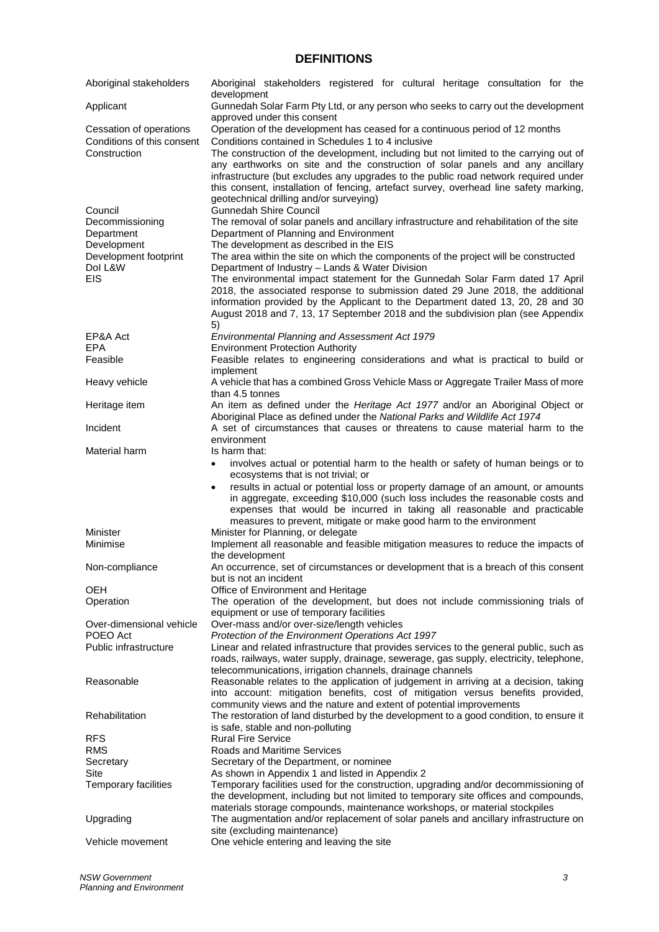# **DEFINITIONS**

<span id="page-2-0"></span>

| Aboriginal stakeholders                                                                                   | Aboriginal stakeholders registered for cultural heritage consultation for the<br>development                                                                                                                                                                                                                                                                                                                                                                                                                                                                                                                                                                                                                                                      |  |  |  |  |  |
|-----------------------------------------------------------------------------------------------------------|---------------------------------------------------------------------------------------------------------------------------------------------------------------------------------------------------------------------------------------------------------------------------------------------------------------------------------------------------------------------------------------------------------------------------------------------------------------------------------------------------------------------------------------------------------------------------------------------------------------------------------------------------------------------------------------------------------------------------------------------------|--|--|--|--|--|
| Applicant                                                                                                 | Gunnedah Solar Farm Pty Ltd, or any person who seeks to carry out the development                                                                                                                                                                                                                                                                                                                                                                                                                                                                                                                                                                                                                                                                 |  |  |  |  |  |
| Cessation of operations<br>Conditions of this consent<br>Construction                                     | approved under this consent<br>Operation of the development has ceased for a continuous period of 12 months<br>Conditions contained in Schedules 1 to 4 inclusive<br>The construction of the development, including but not limited to the carrying out of<br>any earthworks on site and the construction of solar panels and any ancillary<br>infrastructure (but excludes any upgrades to the public road network required under<br>this consent, installation of fencing, artefact survey, overhead line safety marking,                                                                                                                                                                                                                       |  |  |  |  |  |
| Council<br>Decommissioning<br>Department<br>Development<br>Development footprint<br>Dol L&W<br><b>EIS</b> | geotechnical drilling and/or surveying)<br><b>Gunnedah Shire Council</b><br>The removal of solar panels and ancillary infrastructure and rehabilitation of the site<br>Department of Planning and Environment<br>The development as described in the EIS<br>The area within the site on which the components of the project will be constructed<br>Department of Industry - Lands & Water Division<br>The environmental impact statement for the Gunnedah Solar Farm dated 17 April<br>2018, the associated response to submission dated 29 June 2018, the additional<br>information provided by the Applicant to the Department dated 13, 20, 28 and 30<br>August 2018 and 7, 13, 17 September 2018 and the subdivision plan (see Appendix<br>5) |  |  |  |  |  |
| EP&A Act                                                                                                  | Environmental Planning and Assessment Act 1979                                                                                                                                                                                                                                                                                                                                                                                                                                                                                                                                                                                                                                                                                                    |  |  |  |  |  |
| <b>EPA</b><br>Feasible                                                                                    | <b>Environment Protection Authority</b><br>Feasible relates to engineering considerations and what is practical to build or<br>implement                                                                                                                                                                                                                                                                                                                                                                                                                                                                                                                                                                                                          |  |  |  |  |  |
| Heavy vehicle                                                                                             | A vehicle that has a combined Gross Vehicle Mass or Aggregate Trailer Mass of more<br>than 4.5 tonnes                                                                                                                                                                                                                                                                                                                                                                                                                                                                                                                                                                                                                                             |  |  |  |  |  |
| Heritage item                                                                                             | An item as defined under the Heritage Act 1977 and/or an Aboriginal Object or                                                                                                                                                                                                                                                                                                                                                                                                                                                                                                                                                                                                                                                                     |  |  |  |  |  |
| Incident                                                                                                  | Aboriginal Place as defined under the National Parks and Wildlife Act 1974<br>A set of circumstances that causes or threatens to cause material harm to the<br>environment                                                                                                                                                                                                                                                                                                                                                                                                                                                                                                                                                                        |  |  |  |  |  |
| Material harm                                                                                             | Is harm that:                                                                                                                                                                                                                                                                                                                                                                                                                                                                                                                                                                                                                                                                                                                                     |  |  |  |  |  |
|                                                                                                           | involves actual or potential harm to the health or safety of human beings or to                                                                                                                                                                                                                                                                                                                                                                                                                                                                                                                                                                                                                                                                   |  |  |  |  |  |
|                                                                                                           | ecosystems that is not trivial; or<br>results in actual or potential loss or property damage of an amount, or amounts<br>$\bullet$<br>in aggregate, exceeding \$10,000 (such loss includes the reasonable costs and<br>expenses that would be incurred in taking all reasonable and practicable<br>measures to prevent, mitigate or make good harm to the environment                                                                                                                                                                                                                                                                                                                                                                             |  |  |  |  |  |
| Minister<br>Minimise                                                                                      | Minister for Planning, or delegate<br>Implement all reasonable and feasible mitigation measures to reduce the impacts of                                                                                                                                                                                                                                                                                                                                                                                                                                                                                                                                                                                                                          |  |  |  |  |  |
|                                                                                                           | the development                                                                                                                                                                                                                                                                                                                                                                                                                                                                                                                                                                                                                                                                                                                                   |  |  |  |  |  |
| Non-compliance                                                                                            | An occurrence, set of circumstances or development that is a breach of this consent<br>but is not an incident                                                                                                                                                                                                                                                                                                                                                                                                                                                                                                                                                                                                                                     |  |  |  |  |  |
| OEH<br>Operation                                                                                          | Office of Environment and Heritage<br>The operation of the development, but does not include commissioning trials of                                                                                                                                                                                                                                                                                                                                                                                                                                                                                                                                                                                                                              |  |  |  |  |  |
| Over-dimensional vehicle                                                                                  | equipment or use of temporary facilities<br>Over-mass and/or over-size/length vehicles                                                                                                                                                                                                                                                                                                                                                                                                                                                                                                                                                                                                                                                            |  |  |  |  |  |
| POEO Act                                                                                                  | Protection of the Environment Operations Act 1997                                                                                                                                                                                                                                                                                                                                                                                                                                                                                                                                                                                                                                                                                                 |  |  |  |  |  |
| Public infrastructure                                                                                     | Linear and related infrastructure that provides services to the general public, such as<br>roads, railways, water supply, drainage, sewerage, gas supply, electricity, telephone,<br>telecommunications, irrigation channels, drainage channels                                                                                                                                                                                                                                                                                                                                                                                                                                                                                                   |  |  |  |  |  |
| Reasonable                                                                                                | Reasonable relates to the application of judgement in arriving at a decision, taking<br>into account: mitigation benefits, cost of mitigation versus benefits provided,<br>community views and the nature and extent of potential improvements                                                                                                                                                                                                                                                                                                                                                                                                                                                                                                    |  |  |  |  |  |
| Rehabilitation                                                                                            | The restoration of land disturbed by the development to a good condition, to ensure it                                                                                                                                                                                                                                                                                                                                                                                                                                                                                                                                                                                                                                                            |  |  |  |  |  |
| <b>RFS</b><br><b>RMS</b>                                                                                  | is safe, stable and non-polluting<br><b>Rural Fire Service</b><br><b>Roads and Maritime Services</b>                                                                                                                                                                                                                                                                                                                                                                                                                                                                                                                                                                                                                                              |  |  |  |  |  |
| Secretary                                                                                                 | Secretary of the Department, or nominee                                                                                                                                                                                                                                                                                                                                                                                                                                                                                                                                                                                                                                                                                                           |  |  |  |  |  |
| Site<br>Temporary facilities                                                                              | As shown in Appendix 1 and listed in Appendix 2<br>Temporary facilities used for the construction, upgrading and/or decommissioning of<br>the development, including but not limited to temporary site offices and compounds,                                                                                                                                                                                                                                                                                                                                                                                                                                                                                                                     |  |  |  |  |  |
| Upgrading                                                                                                 | materials storage compounds, maintenance workshops, or material stockpiles<br>The augmentation and/or replacement of solar panels and ancillary infrastructure on                                                                                                                                                                                                                                                                                                                                                                                                                                                                                                                                                                                 |  |  |  |  |  |
| Vehicle movement                                                                                          | site (excluding maintenance)<br>One vehicle entering and leaving the site                                                                                                                                                                                                                                                                                                                                                                                                                                                                                                                                                                                                                                                                         |  |  |  |  |  |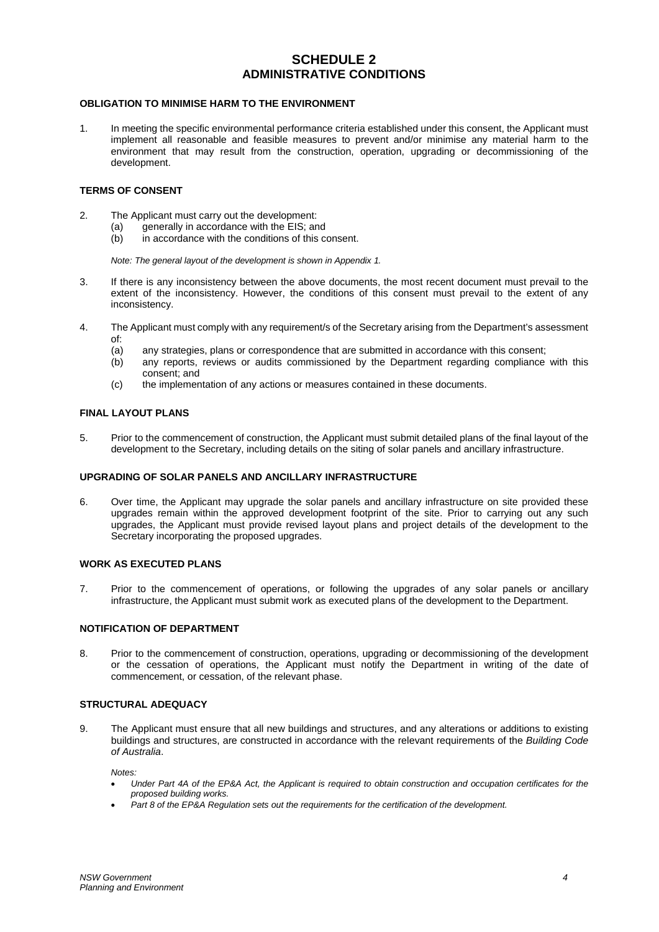# **SCHEDULE 2 ADMINISTRATIVE CONDITIONS**

# <span id="page-3-1"></span><span id="page-3-0"></span>**OBLIGATION TO MINIMISE HARM TO THE ENVIRONMENT**

1. In meeting the specific environmental performance criteria established under this consent, the Applicant must implement all reasonable and feasible measures to prevent and/or minimise any material harm to the environment that may result from the construction, operation, upgrading or decommissioning of the development.

# <span id="page-3-2"></span>**TERMS OF CONSENT**

- 2. The Applicant must carry out the development:
	- (a) generally in accordance with the EIS; and
	- $\overrightarrow{b}$  in accordance with the conditions of this consent.

*Note: The general layout of the development is shown in Appendix 1.*

- 3. If there is any inconsistency between the above documents, the most recent document must prevail to the extent of the inconsistency. However, the conditions of this consent must prevail to the extent of any inconsistency.
- 4. The Applicant must comply with any requirement/s of the Secretary arising from the Department's assessment of:
	- (a) any strategies, plans or correspondence that are submitted in accordance with this consent;<br>(b) any reports, reviews or audits commissioned by the Department regarding compliance
	- any reports, reviews or audits commissioned by the Department regarding compliance with this consent; and
	- (c) the implementation of any actions or measures contained in these documents.

#### <span id="page-3-3"></span>**FINAL LAYOUT PLANS**

5. Prior to the commencement of construction, the Applicant must submit detailed plans of the final layout of the development to the Secretary, including details on the siting of solar panels and ancillary infrastructure.

## <span id="page-3-4"></span>**UPGRADING OF SOLAR PANELS AND ANCILLARY INFRASTRUCTURE**

6. Over time, the Applicant may upgrade the solar panels and ancillary infrastructure on site provided these upgrades remain within the approved development footprint of the site. Prior to carrying out any such upgrades, the Applicant must provide revised layout plans and project details of the development to the Secretary incorporating the proposed upgrades.

# <span id="page-3-5"></span>**WORK AS EXECUTED PLANS**

7. Prior to the commencement of operations, or following the upgrades of any solar panels or ancillary infrastructure, the Applicant must submit work as executed plans of the development to the Department.

## <span id="page-3-6"></span>**NOTIFICATION OF DEPARTMENT**

8. Prior to the commencement of construction, operations, upgrading or decommissioning of the development or the cessation of operations, the Applicant must notify the Department in writing of the date of commencement, or cessation, of the relevant phase.

#### <span id="page-3-7"></span>**STRUCTURAL ADEQUACY**

9. The Applicant must ensure that all new buildings and structures, and any alterations or additions to existing buildings and structures, are constructed in accordance with the relevant requirements of the *Building Code of Australia*.

*Notes:*

- *Under Part 4A of the EP&A Act, the Applicant is required to obtain construction and occupation certificates for the proposed building works.*
- *Part 8 of the EP&A Regulation sets out the requirements for the certification of the development.*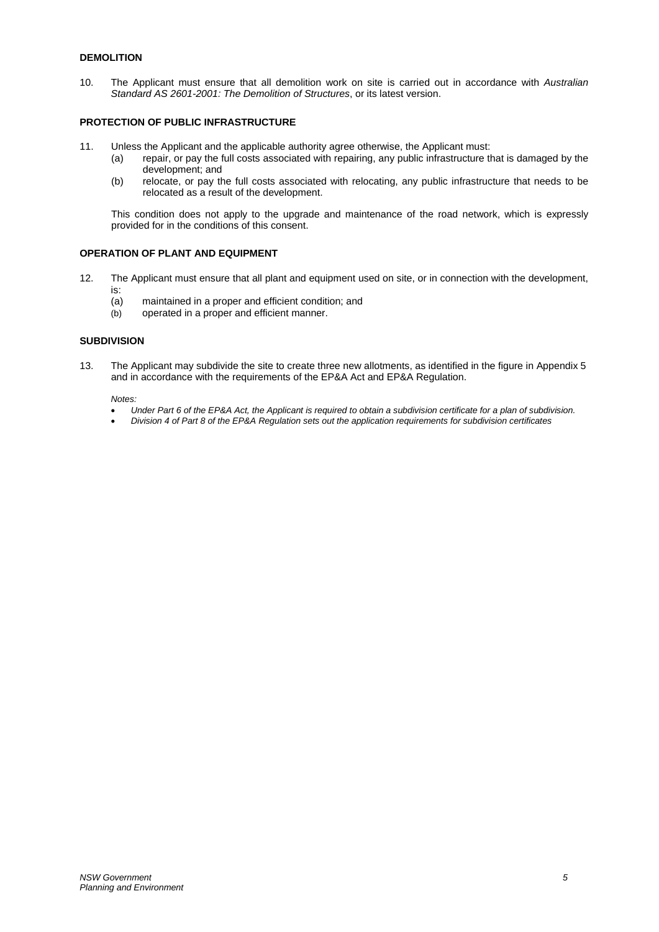# <span id="page-4-0"></span>**DEMOLITION**

10. The Applicant must ensure that all demolition work on site is carried out in accordance with *Australian Standard AS 2601-2001: The Demolition of Structures*, or its latest version.

## <span id="page-4-1"></span>**PROTECTION OF PUBLIC INFRASTRUCTURE**

- 11. Unless the Applicant and the applicable authority agree otherwise, the Applicant must:
	- (a) repair, or pay the full costs associated with repairing, any public infrastructure that is damaged by the development; and
	- (b) relocate, or pay the full costs associated with relocating, any public infrastructure that needs to be relocated as a result of the development.

This condition does not apply to the upgrade and maintenance of the road network, which is expressly provided for in the conditions of this consent.

# <span id="page-4-2"></span>**OPERATION OF PLANT AND EQUIPMENT**

- 12. The Applicant must ensure that all plant and equipment used on site, or in connection with the development, is:<br>(a)
	- maintained in a proper and efficient condition; and
	- (b) operated in a proper and efficient manner.

# <span id="page-4-3"></span>**SUBDIVISION**

13. The Applicant may subdivide the site to create three new allotments, as identified in the figure in Appendix 5 and in accordance with the requirements of the EP&A Act and EP&A Regulation.

*Notes:*

- *Under Part 6 of the EP&A Act, the Applicant is required to obtain a subdivision certificate for a plan of subdivision.*
- *Division 4 of Part 8 of the EP&A Regulation sets out the application requirements for subdivision certificates*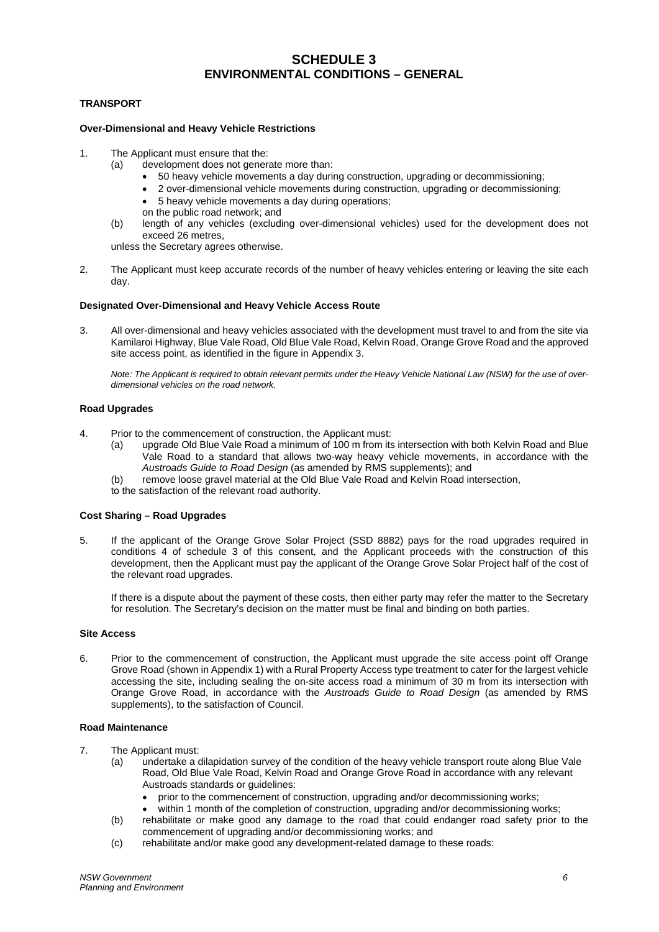# **SCHEDULE 3 ENVIRONMENTAL CONDITIONS – GENERAL**

# <span id="page-5-1"></span><span id="page-5-0"></span>**TRANSPORT**

#### **Over-Dimensional and Heavy Vehicle Restrictions**

- 1. The Applicant must ensure that the:
	- (a) development does not generate more than:
		- 50 heavy vehicle movements a day during construction, upgrading or decommissioning;
		- 2 over-dimensional vehicle movements during construction, upgrading or decommissioning;
		- 5 heavy vehicle movements a day during operations;
		- on the public road network; and
	- (b) length of any vehicles (excluding over-dimensional vehicles) used for the development does not exceed 26 metres,

unless the Secretary agrees otherwise.

2. The Applicant must keep accurate records of the number of heavy vehicles entering or leaving the site each day.

#### **Designated Over-Dimensional and Heavy Vehicle Access Route**

3. All over-dimensional and heavy vehicles associated with the development must travel to and from the site via Kamilaroi Highway, Blue Vale Road, Old Blue Vale Road, Kelvin Road, Orange Grove Road and the approved site access point, as identified in the figure in Appendix 3.

*Note: The Applicant is required to obtain relevant permits under the Heavy Vehicle National Law (NSW) for the use of overdimensional vehicles on the road network.*

## **Road Upgrades**

- 4. Prior to the commencement of construction, the Applicant must:
	- (a) upgrade Old Blue Vale Road a minimum of 100 m from its intersection with both Kelvin Road and Blue Vale Road to a standard that allows two-way heavy vehicle movements, in accordance with the *Austroads Guide to Road Design* (as amended by RMS supplements); and
	- (b) remove loose gravel material at the Old Blue Vale Road and Kelvin Road intersection,

to the satisfaction of the relevant road authority.

## **Cost Sharing – Road Upgrades**

5. If the applicant of the Orange Grove Solar Project (SSD 8882) pays for the road upgrades required in conditions 4 of schedule 3 of this consent, and the Applicant proceeds with the construction of this development, then the Applicant must pay the applicant of the Orange Grove Solar Project half of the cost of the relevant road upgrades.

If there is a dispute about the payment of these costs, then either party may refer the matter to the Secretary for resolution. The Secretary's decision on the matter must be final and binding on both parties.

#### **Site Access**

6. Prior to the commencement of construction, the Applicant must upgrade the site access point off Orange Grove Road (shown in Appendix 1) with a Rural Property Access type treatment to cater for the largest vehicle accessing the site, including sealing the on-site access road a minimum of 30 m from its intersection with Orange Grove Road, in accordance with the *Austroads Guide to Road Design* (as amended by RMS supplements), to the satisfaction of Council.

## **Road Maintenance**

- 7. The Applicant must:
	- (a) undertake a dilapidation survey of the condition of the heavy vehicle transport route along Blue Vale Road, Old Blue Vale Road, Kelvin Road and Orange Grove Road in accordance with any relevant Austroads standards or guidelines:
		- prior to the commencement of construction, upgrading and/or decommissioning works;
		- within 1 month of the completion of construction, upgrading and/or decommissioning works;
	- (b) rehabilitate or make good any damage to the road that could endanger road safety prior to the commencement of upgrading and/or decommissioning works; and
	- (c) rehabilitate and/or make good any development-related damage to these roads: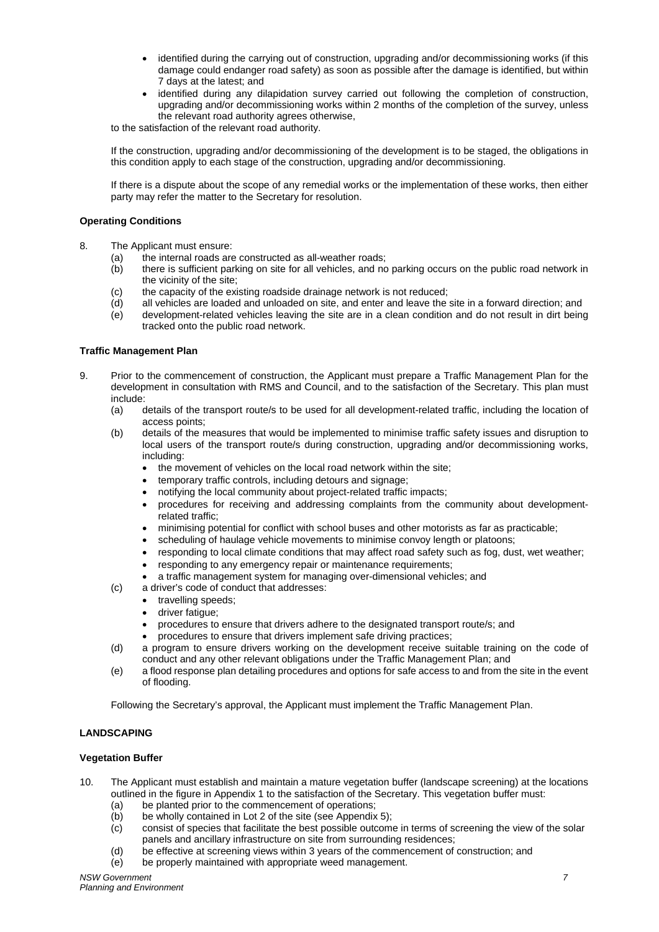- identified during the carrying out of construction, upgrading and/or decommissioning works (if this damage could endanger road safety) as soon as possible after the damage is identified, but within 7 days at the latest; and
- identified during any dilapidation survey carried out following the completion of construction, upgrading and/or decommissioning works within 2 months of the completion of the survey, unless the relevant road authority agrees otherwise,

to the satisfaction of the relevant road authority.

If the construction, upgrading and/or decommissioning of the development is to be staged, the obligations in this condition apply to each stage of the construction, upgrading and/or decommissioning.

If there is a dispute about the scope of any remedial works or the implementation of these works, then either party may refer the matter to the Secretary for resolution.

# **Operating Conditions**

- 8. The Applicant must ensure:
	- (a) the internal roads are constructed as all-weather roads;
	- (b) there is sufficient parking on site for all vehicles, and no parking occurs on the public road network in the vicinity of the site;
	- (c) the capacity of the existing roadside drainage network is not reduced;
	- (d) all vehicles are loaded and unloaded on site, and enter and leave the site in a forward direction; and
	- (e) development-related vehicles leaving the site are in a clean condition and do not result in dirt being tracked onto the public road network.

#### **Traffic Management Plan**

- 9. Prior to the commencement of construction, the Applicant must prepare a Traffic Management Plan for the development in consultation with RMS and Council, and to the satisfaction of the Secretary. This plan must include:<br>(a) c
	- details of the transport route/s to be used for all development-related traffic, including the location of access points;
	- (b) details of the measures that would be implemented to minimise traffic safety issues and disruption to local users of the transport route/s during construction, upgrading and/or decommissioning works, including:
		- the movement of vehicles on the local road network within the site;
		- temporary traffic controls, including detours and signage;
		- notifying the local community about project-related traffic impacts;
		- procedures for receiving and addressing complaints from the community about developmentrelated traffic;
		- minimising potential for conflict with school buses and other motorists as far as practicable;
		- scheduling of haulage vehicle movements to minimise convoy length or platoons;
		- responding to local climate conditions that may affect road safety such as fog, dust, wet weather;
		- responding to any emergency repair or maintenance requirements;
		- a traffic management system for managing over-dimensional vehicles; and
	- (c) a driver's code of conduct that addresses:
		- travelling speeds:
			- driver fatigue;
			- procedures to ensure that drivers adhere to the designated transport route/s; and
			- procedures to ensure that drivers implement safe driving practices;
	- (d) a program to ensure drivers working on the development receive suitable training on the code of conduct and any other relevant obligations under the Traffic Management Plan; and
	- (e) a flood response plan detailing procedures and options for safe access to and from the site in the event of flooding.

Following the Secretary's approval, the Applicant must implement the Traffic Management Plan.

# <span id="page-6-0"></span>**LANDSCAPING**

# **Vegetation Buffer**

- 10. The Applicant must establish and maintain a mature vegetation buffer (landscape screening) at the locations outlined in the figure in Appendix 1 to the satisfaction of the Secretary. This vegetation buffer must:
	- (a) be planted prior to the commencement of operations;<br>(b) be wholly contained in Lot 2 of the site (see Appendix
	- be wholly contained in Lot 2 of the site (see Appendix 5);
	- (c) consist of species that facilitate the best possible outcome in terms of screening the view of the solar panels and ancillary infrastructure on site from surrounding residences;
	- (d) be effective at screening views within 3 years of the commencement of construction; and
	- (e) be properly maintained with appropriate weed management.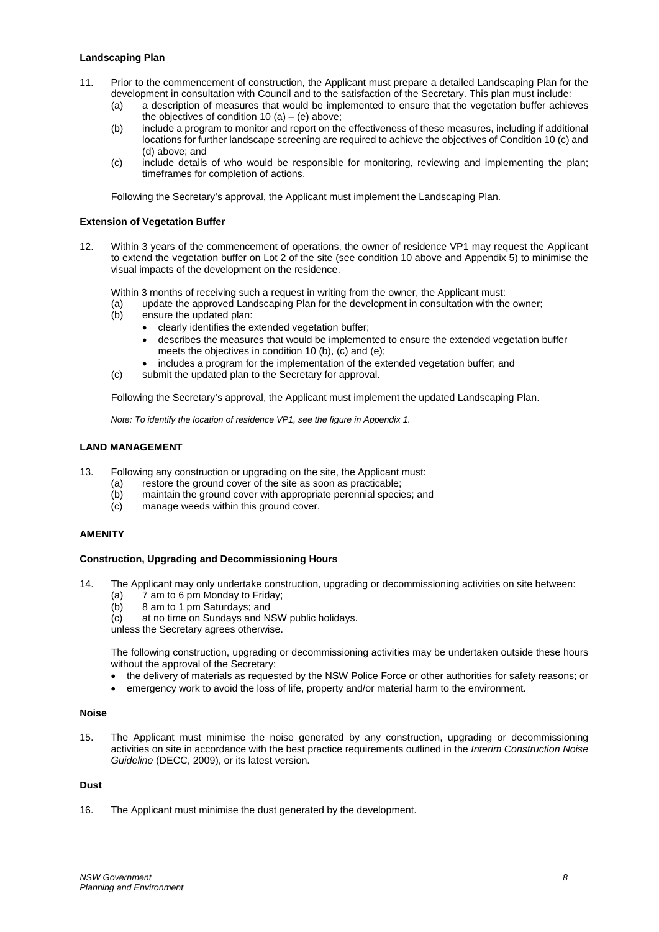#### **Landscaping Plan**

- 11. Prior to the commencement of construction, the Applicant must prepare a detailed Landscaping Plan for the development in consultation with Council and to the satisfaction of the Secretary. This plan must include:
	- (a) a description of measures that would be implemented to ensure that the vegetation buffer achieves the objectives of condition 10 (a)  $-$  (e) above;
	- (b) include a program to monitor and report on the effectiveness of these measures, including if additional locations for further landscape screening are required to achieve the objectives of Condition 10 (c) and (d) above; and
	- (c) include details of who would be responsible for monitoring, reviewing and implementing the plan; timeframes for completion of actions.

Following the Secretary's approval, the Applicant must implement the Landscaping Plan.

#### **Extension of Vegetation Buffer**

12. Within 3 years of the commencement of operations, the owner of residence VP1 may request the Applicant to extend the vegetation buffer on Lot 2 of the site (see condition 10 above and Appendix 5) to minimise the visual impacts of the development on the residence.

Within 3 months of receiving such a request in writing from the owner, the Applicant must:

- (a) update the approved Landscaping Plan for the development in consultation with the owner;<br>(b) ensure the updated plan:
- ensure the updated plan:
	- clearly identifies the extended vegetation buffer;
		- describes the measures that would be implemented to ensure the extended vegetation buffer meets the objectives in condition 10 (b), (c) and (e);
		- includes a program for the implementation of the extended vegetation buffer; and
- (c) submit the updated plan to the Secretary for approval.

Following the Secretary's approval, the Applicant must implement the updated Landscaping Plan.

*Note: To identify the location of residence VP1, see the figure in Appendix 1.*

#### <span id="page-7-0"></span>**LAND MANAGEMENT**

- 13. Following any construction or upgrading on the site, the Applicant must:
	- (a) restore the ground cover of the site as soon as practicable;<br>(b) maintain the ground cover with appropriate perennial speci-
	- (b) maintain the ground cover with appropriate perennial species; and (c) manage weeds within this ground cover.
	- manage weeds within this ground cover.

#### <span id="page-7-1"></span>**AMENITY**

#### **Construction, Upgrading and Decommissioning Hours**

- 14. The Applicant may only undertake construction, upgrading or decommissioning activities on site between:
	- (a)  $\overline{7}$  am to 6 pm Monday to Friday;<br>(b)  $\overline{8}$  am to 1 pm Saturdays: and
	- 8 am to 1 pm Saturdays; and
	- (c) at no time on Sundays and NSW public holidays.

unless the Secretary agrees otherwise.

The following construction, upgrading or decommissioning activities may be undertaken outside these hours without the approval of the Secretary:

- the delivery of materials as requested by the NSW Police Force or other authorities for safety reasons; or
- emergency work to avoid the loss of life, property and/or material harm to the environment.

#### **Noise**

15. The Applicant must minimise the noise generated by any construction, upgrading or decommissioning activities on site in accordance with the best practice requirements outlined in the *Interim Construction Noise Guideline* (DECC, 2009), or its latest version.

#### **Dust**

16. The Applicant must minimise the dust generated by the development.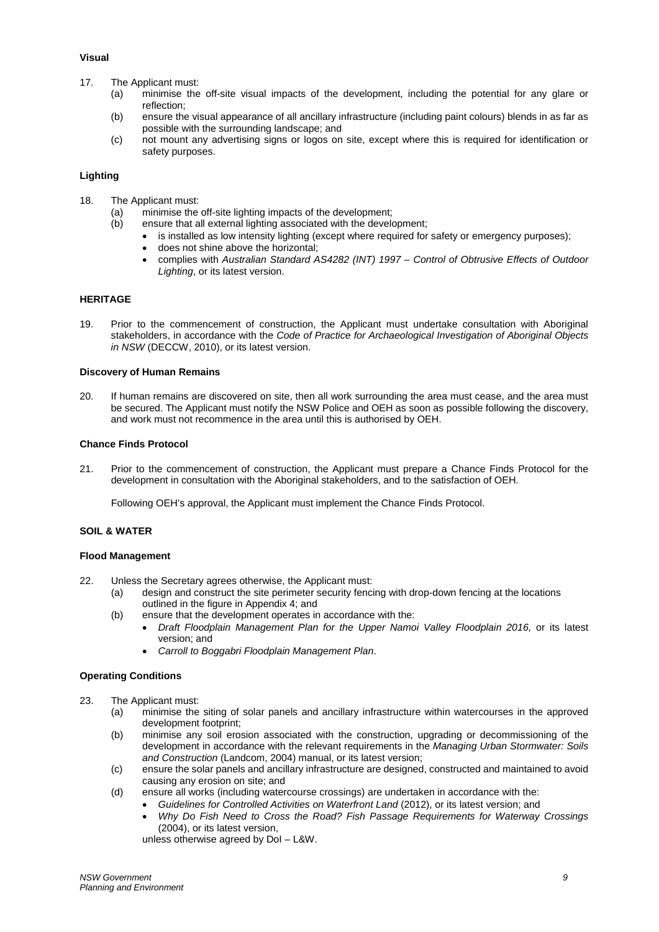## **Visual**

- 17. The Applicant must:
	- (a) minimise the off-site visual impacts of the development, including the potential for any glare or reflection;
	- (b) ensure the visual appearance of all ancillary infrastructure (including paint colours) blends in as far as possible with the surrounding landscape; and
	- (c) not mount any advertising signs or logos on site, except where this is required for identification or safety purposes.

# **Lighting**

- 18. The Applicant must:
	- (a) minimise the off-site lighting impacts of the development;
	- (b) ensure that all external lighting associated with the development;
		- is installed as low intensity lighting (except where required for safety or emergency purposes);
		- does not shine above the horizontal;
		- complies with *Australian Standard AS4282 (INT) 1997 – Control of Obtrusive Effects of Outdoor Lighting*, or its latest version.

# <span id="page-8-0"></span>**HERITAGE**

19. Prior to the commencement of construction, the Applicant must undertake consultation with Aboriginal stakeholders, in accordance with the *Code of Practice for Archaeological Investigation of Aboriginal Objects in NSW* (DECCW, 2010), or its latest version.

## **Discovery of Human Remains**

20. If human remains are discovered on site, then all work surrounding the area must cease, and the area must be secured. The Applicant must notify the NSW Police and OEH as soon as possible following the discovery, and work must not recommence in the area until this is authorised by OEH.

## **Chance Finds Protocol**

21. Prior to the commencement of construction, the Applicant must prepare a Chance Finds Protocol for the development in consultation with the Aboriginal stakeholders, and to the satisfaction of OEH.

Following OEH's approval, the Applicant must implement the Chance Finds Protocol.

#### <span id="page-8-1"></span>**SOIL & WATER**

#### **Flood Management**

- 22. Unless the Secretary agrees otherwise, the Applicant must:
	- (a) design and construct the site perimeter security fencing with drop-down fencing at the locations outlined in the figure in Appendix 4; and
	- (b) ensure that the development operates in accordance with the:
		- *Draft Floodplain Management Plan for the Upper Namoi Valley Floodplain 2016,* or its latest version; and
		- *Carroll to Boggabri Floodplain Management Plan*.

#### **Operating Conditions**

- 23. The Applicant must:
	- (a) minimise the siting of solar panels and ancillary infrastructure within watercourses in the approved development footprint;
	- (b) minimise any soil erosion associated with the construction, upgrading or decommissioning of the development in accordance with the relevant requirements in the *Managing Urban Stormwater: Soils and Construction* (Landcom, 2004) manual, or its latest version;
	- (c) ensure the solar panels and ancillary infrastructure are designed, constructed and maintained to avoid causing any erosion on site; and
	- (d) ensure all works (including watercourse crossings) are undertaken in accordance with the:
		- Guidelines for Controlled Activities on Waterfront Land (2012), or its latest version; and
			- *Why Do Fish Need to Cross the Road? Fish Passage Requirements for Waterway Crossings* (2004), or its latest version,

unless otherwise agreed by DoI – L&W.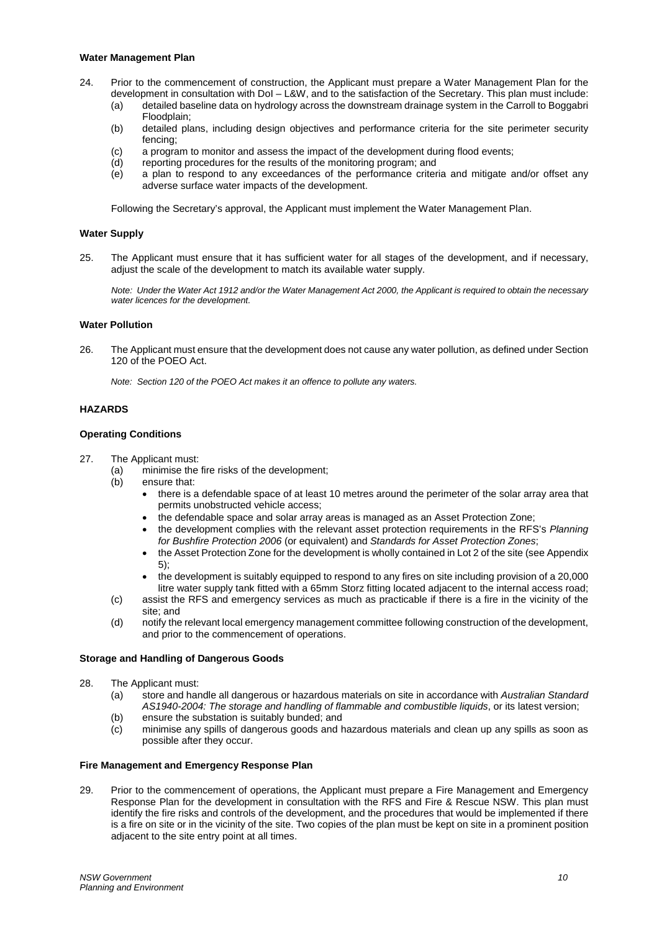#### **Water Management Plan**

- 24. Prior to the commencement of construction, the Applicant must prepare a Water Management Plan for the development in consultation with DoI – L&W, and to the satisfaction of the Secretary. This plan must include:
	- (a) detailed baseline data on hydrology across the downstream drainage system in the Carroll to Boggabri Floodplain;
	- (b) detailed plans, including design objectives and performance criteria for the site perimeter security fencing;
	- (c) a program to monitor and assess the impact of the development during flood events;<br>(d) reporting procedures for the results of the monitoring program: and
	- (d) reporting procedures for the results of the monitoring program; and (e) a plan to respond to any exceedances of the performance criter
	- a plan to respond to any exceedances of the performance criteria and mitigate and/or offset any adverse surface water impacts of the development.

Following the Secretary's approval, the Applicant must implement the Water Management Plan.

#### **Water Supply**

25. The Applicant must ensure that it has sufficient water for all stages of the development, and if necessary, adjust the scale of the development to match its available water supply.

*Note: Under the Water Act 1912 and/or the Water Management Act 2000, the Applicant is required to obtain the necessary water licences for the development.*

# **Water Pollution**

26. The Applicant must ensure that the development does not cause any water pollution, as defined under Section 120 of the POEO Act.

*Note: Section 120 of the POEO Act makes it an offence to pollute any waters.*

#### <span id="page-9-0"></span>**HAZARDS**

# **Operating Conditions**

- 27. The Applicant must:
	- (a) minimise the fire risks of the development;
	- (b) ensure that:
		- there is a defendable space of at least 10 metres around the perimeter of the solar array area that permits unobstructed vehicle access;
		- the defendable space and solar array areas is managed as an Asset Protection Zone;
		- the development complies with the relevant asset protection requirements in the RFS's *Planning for Bushfire Protection 2006* (or equivalent) and *Standards for Asset Protection Zones*;
		- the Asset Protection Zone for the development is wholly contained in Lot 2 of the site (see Appendix 5);
		- the development is suitably equipped to respond to any fires on site including provision of a 20,000 litre water supply tank fitted with a 65mm Storz fitting located adjacent to the internal access road;
	- (c) assist the RFS and emergency services as much as practicable if there is a fire in the vicinity of the site; and
	- (d) notify the relevant local emergency management committee following construction of the development, and prior to the commencement of operations.

#### **Storage and Handling of Dangerous Goods**

- 28. The Applicant must:
	- (a) store and handle all dangerous or hazardous materials on site in accordance with *Australian Standard AS1940-2004: The storage and handling of flammable and combustible liquids*, or its latest version;
	- (b) ensure the substation is suitably bunded; and
	- (c) minimise any spills of dangerous goods and hazardous materials and clean up any spills as soon as possible after they occur.

#### **Fire Management and Emergency Response Plan**

29. Prior to the commencement of operations, the Applicant must prepare a Fire Management and Emergency Response Plan for the development in consultation with the RFS and Fire & Rescue NSW. This plan must identify the fire risks and controls of the development, and the procedures that would be implemented if there is a fire on site or in the vicinity of the site. Two copies of the plan must be kept on site in a prominent position adjacent to the site entry point at all times.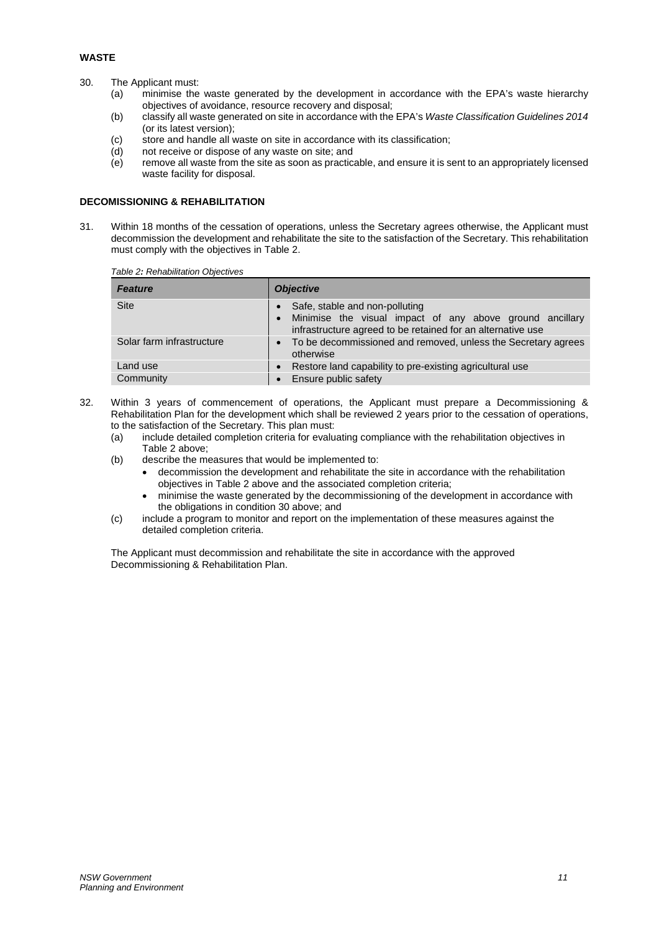# <span id="page-10-0"></span>**WASTE**

- 30. The Applicant must:
	- (a) minimise the waste generated by the development in accordance with the EPA's waste hierarchy objectives of avoidance, resource recovery and disposal;
	- (b) classify all waste generated on site in accordance with the EPA's *Waste Classification Guidelines 2014* (or its latest version);
	- (c) store and handle all waste on site in accordance with its classification;
	- (d) not receive or dispose of any waste on site; and<br>(e) remove all waste from the site as soon as practic
	- remove all waste from the site as soon as practicable, and ensure it is sent to an appropriately licensed waste facility for disposal.

# <span id="page-10-1"></span>**DECOMISSIONING & REHABILITATION**

31. Within 18 months of the cessation of operations, unless the Secretary agrees otherwise, the Applicant must decommission the development and rehabilitate the site to the satisfaction of the Secretary. This rehabilitation must comply with the objectives in Table 2.

| Table 2: Rehabilitation Objectives |                                                                                                                                                           |  |  |
|------------------------------------|-----------------------------------------------------------------------------------------------------------------------------------------------------------|--|--|
| <b>Feature</b>                     | <b>Objective</b>                                                                                                                                          |  |  |
| <b>Site</b>                        | Safe, stable and non-polluting<br>Minimise the visual impact of any above ground ancillary<br>infrastructure agreed to be retained for an alternative use |  |  |
| Solar farm infrastructure          | • To be decommissioned and removed, unless the Secretary agrees                                                                                           |  |  |

|     | Land use  | • Restore land capability to pre-existing agricultural use                                                                                                                                                    |
|-----|-----------|---------------------------------------------------------------------------------------------------------------------------------------------------------------------------------------------------------------|
|     | Community | • Ensure public safety                                                                                                                                                                                        |
| 32. |           | Within 3 years of commencement of operations, the Applicant must prepare a Decommissioning &<br>Rehabilitation Plan for the development which shall be reviewed 2 years prior to the cessation of operations, |

otherwise

- to the satisfaction of the Secretary. This plan must:
- (a) include detailed completion criteria for evaluating compliance with the rehabilitation objectives in Table 2 above;
- (b) describe the measures that would be implemented to:
	- decommission the development and rehabilitate the site in accordance with the rehabilitation objectives in Table 2 above and the associated completion criteria;
	- minimise the waste generated by the decommissioning of the development in accordance with the obligations in condition 30 above; and
- (c) include a program to monitor and report on the implementation of these measures against the detailed completion criteria.

The Applicant must decommission and rehabilitate the site in accordance with the approved Decommissioning & Rehabilitation Plan.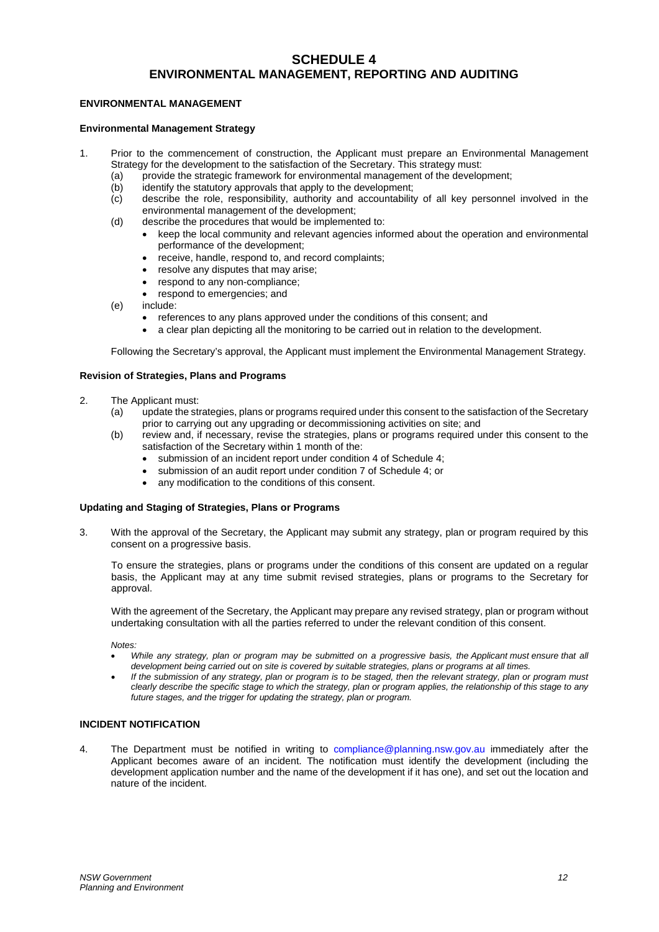# **SCHEDULE 4 ENVIRONMENTAL MANAGEMENT, REPORTING AND AUDITING**

## <span id="page-11-1"></span><span id="page-11-0"></span>**ENVIRONMENTAL MANAGEMENT**

## **Environmental Management Strategy**

- 1. Prior to the commencement of construction, the Applicant must prepare an Environmental Management Strategy for the development to the satisfaction of the Secretary. This strategy must:
	- (a) provide the strategic framework for environmental management of the development;<br>(b) identify the statutory approvals that apply to the development;
	- (b) identify the statutory approvals that apply to the development;<br>(c) describe the role, responsibility, authority and accountability
	- describe the role, responsibility, authority and accountability of all key personnel involved in the environmental management of the development;
	- (d) describe the procedures that would be implemented to:
		- keep the local community and relevant agencies informed about the operation and environmental performance of the development;
		- receive, handle, respond to, and record complaints;
		- resolve any disputes that may arise;
		- respond to any non-compliance;
		- respond to emergencies; and
	- (e) include:
		- references to any plans approved under the conditions of this consent; and
		- a clear plan depicting all the monitoring to be carried out in relation to the development.

Following the Secretary's approval, the Applicant must implement the Environmental Management Strategy.

#### **Revision of Strategies, Plans and Programs**

- 2. The Applicant must:
	- (a) update the strategies, plans or programs required under this consent to the satisfaction of the Secretary prior to carrying out any upgrading or decommissioning activities on site; and
	- (b) review and, if necessary, revise the strategies, plans or programs required under this consent to the satisfaction of the Secretary within 1 month of the:
		- submission of an incident report under condition 4 of Schedule 4;
		- submission of an audit report under condition 7 of Schedule 4; or
		- any modification to the conditions of this consent.

#### **Updating and Staging of Strategies, Plans or Programs**

3. With the approval of the Secretary, the Applicant may submit any strategy, plan or program required by this consent on a progressive basis.

To ensure the strategies, plans or programs under the conditions of this consent are updated on a regular basis, the Applicant may at any time submit revised strategies, plans or programs to the Secretary for approval.

With the agreement of the Secretary, the Applicant may prepare any revised strategy, plan or program without undertaking consultation with all the parties referred to under the relevant condition of this consent.

*Notes:*

- *While any strategy, plan or program may be submitted on a progressive basis, the Applicant must ensure that all development being carried out on site is covered by suitable strategies, plans or programs at all times.*
- *If the submission of any strategy, plan or program is to be staged, then the relevant strategy, plan or program must clearly describe the specific stage to which the strategy, plan or program applies, the relationship of this stage to any future stages, and the trigger for updating the strategy, plan or program.*

# <span id="page-11-2"></span>**INCIDENT NOTIFICATION**

4. The Department must be notified in writing to compliance@planning.nsw.gov.au immediately after the Applicant becomes aware of an incident. The notification must identify the development (including the development application number and the name of the development if it has one), and set out the location and nature of the incident.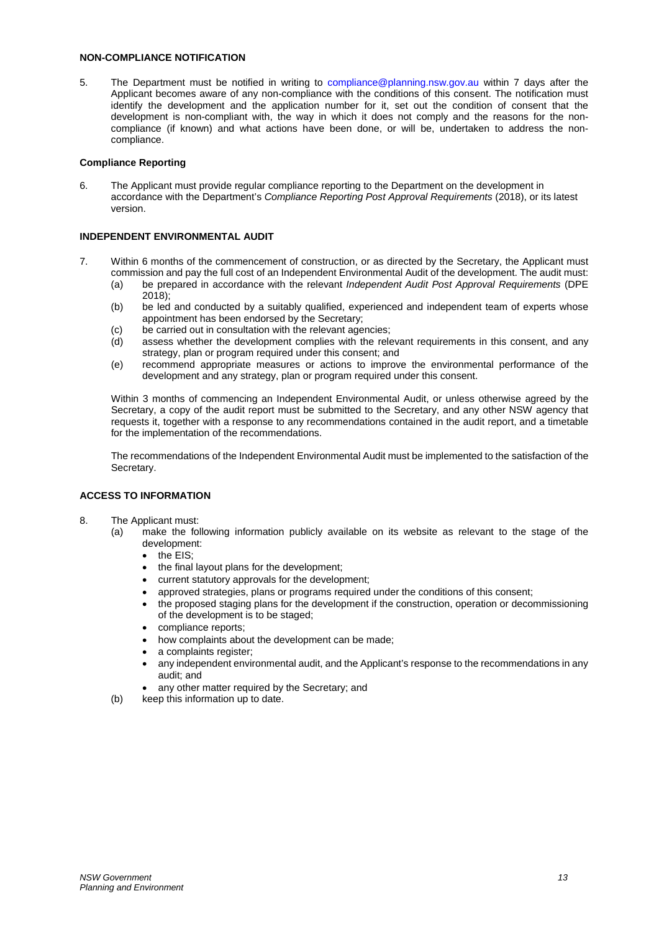# <span id="page-12-0"></span>**NON-COMPLIANCE NOTIFICATION**

5. The Department must be notified in writing to compliance@planning.nsw.gov.au within 7 days after the Applicant becomes aware of any non-compliance with the conditions of this consent. The notification must identify the development and the application number for it, set out the condition of consent that the development is non-compliant with, the way in which it does not comply and the reasons for the noncompliance (if known) and what actions have been done, or will be, undertaken to address the noncompliance.

#### **Compliance Reporting**

6. The Applicant must provide regular compliance reporting to the Department on the development in accordance with the Department's *Compliance Reporting Post Approval Requirements* (2018), or its latest version.

## <span id="page-12-1"></span>**INDEPENDENT ENVIRONMENTAL AUDIT**

- 7. Within 6 months of the commencement of construction, or as directed by the Secretary, the Applicant must commission and pay the full cost of an Independent Environmental Audit of the development. The audit must:
	- (a) be prepared in accordance with the relevant *Independent Audit Post Approval Requirements* (DPE  $2018$
	- (b) be led and conducted by a suitably qualified, experienced and independent team of experts whose appointment has been endorsed by the Secretary;
	- (c) be carried out in consultation with the relevant agencies;
	- (d) assess whether the development complies with the relevant requirements in this consent, and any strategy, plan or program required under this consent; and
	- (e) recommend appropriate measures or actions to improve the environmental performance of the development and any strategy, plan or program required under this consent.

Within 3 months of commencing an Independent Environmental Audit, or unless otherwise agreed by the Secretary, a copy of the audit report must be submitted to the Secretary, and any other NSW agency that requests it, together with a response to any recommendations contained in the audit report, and a timetable for the implementation of the recommendations.

The recommendations of the Independent Environmental Audit must be implemented to the satisfaction of the Secretary.

#### <span id="page-12-2"></span>**ACCESS TO INFORMATION**

- 8. The Applicant must:
	- (a) make the following information publicly available on its website as relevant to the stage of the development:
		- the **EIS**:
		- the final layout plans for the development;
		- current statutory approvals for the development;
		- approved strategies, plans or programs required under the conditions of this consent;
		- the proposed staging plans for the development if the construction, operation or decommissioning of the development is to be staged;
		- compliance reports;
		- how complaints about the development can be made;
		- a complaints register:
		- any independent environmental audit, and the Applicant's response to the recommendations in any audit; and
		- any other matter required by the Secretary; and
	- (b) keep this information up to date.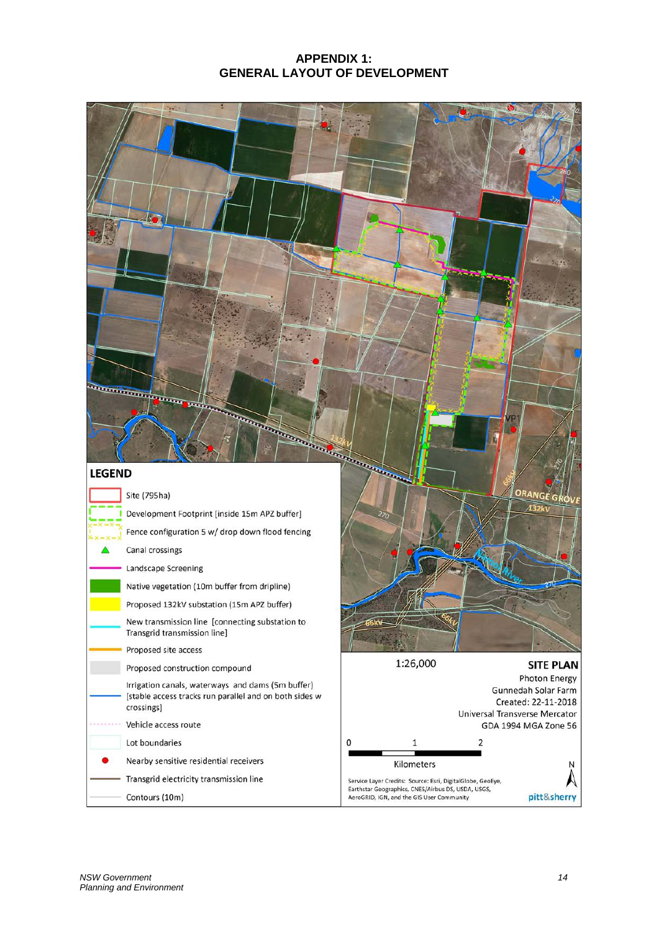# **APPENDIX 1: GENERAL LAYOUT OF DEVELOPMENT**

<span id="page-13-0"></span>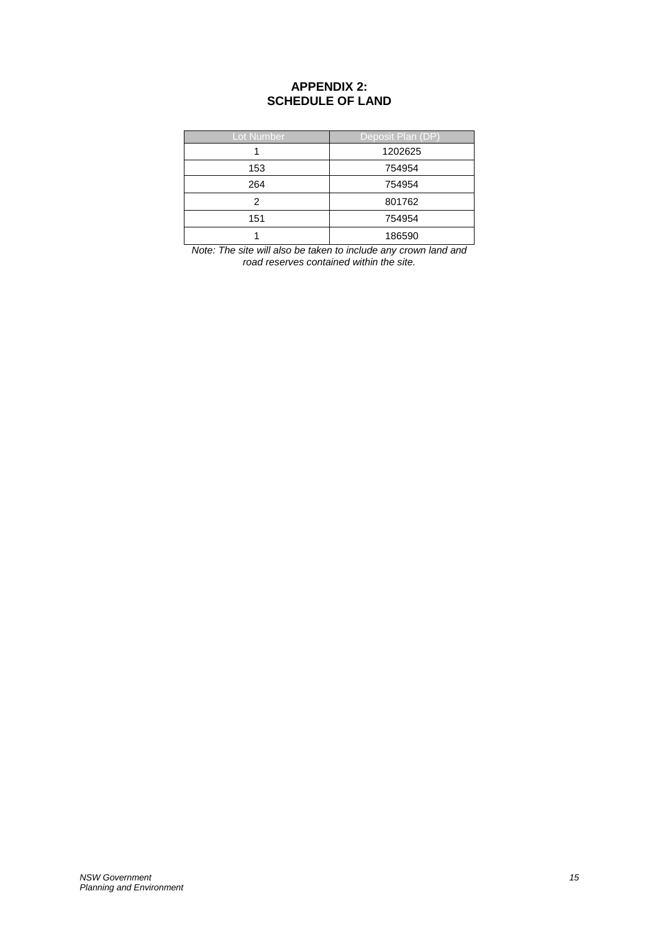# **APPENDIX 2: SCHEDULE OF LAND**

<span id="page-14-0"></span>

| <b>Lot Number</b> | Deposit Plan (DP) |
|-------------------|-------------------|
|                   | 1202625           |
| 153               | 754954            |
| 264               | 754954            |
| 2                 | 801762            |
| 151               | 754954            |
|                   | 186590            |

*Note: The site will also be taken to include any crown land and road reserves contained within the site.*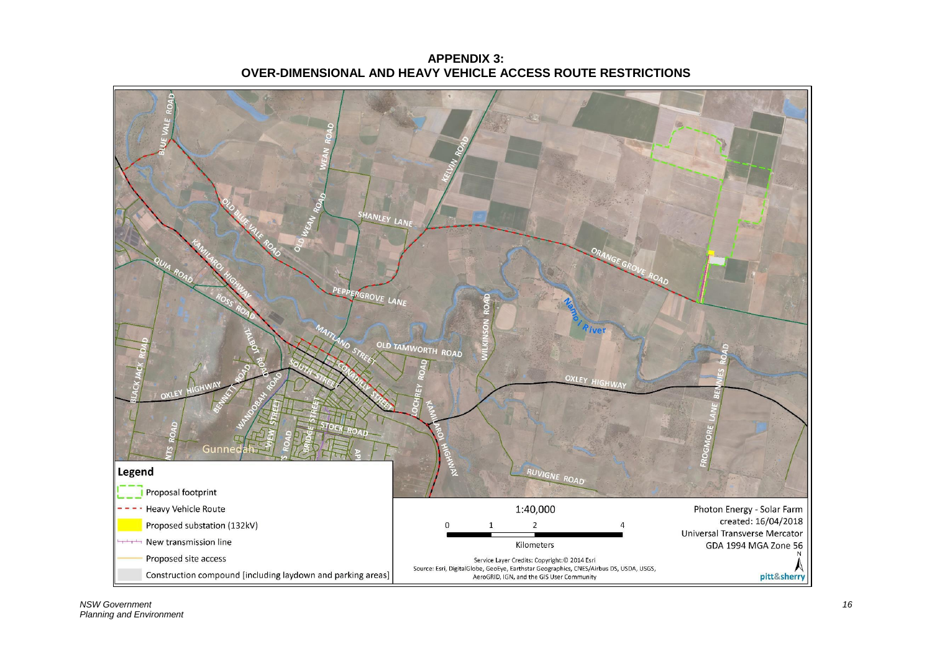<span id="page-15-0"></span>

**APPENDIX 3: OVER-DIMENSIONAL AND HEAVY VEHICLE ACCESS ROUTE RESTRICTIONS**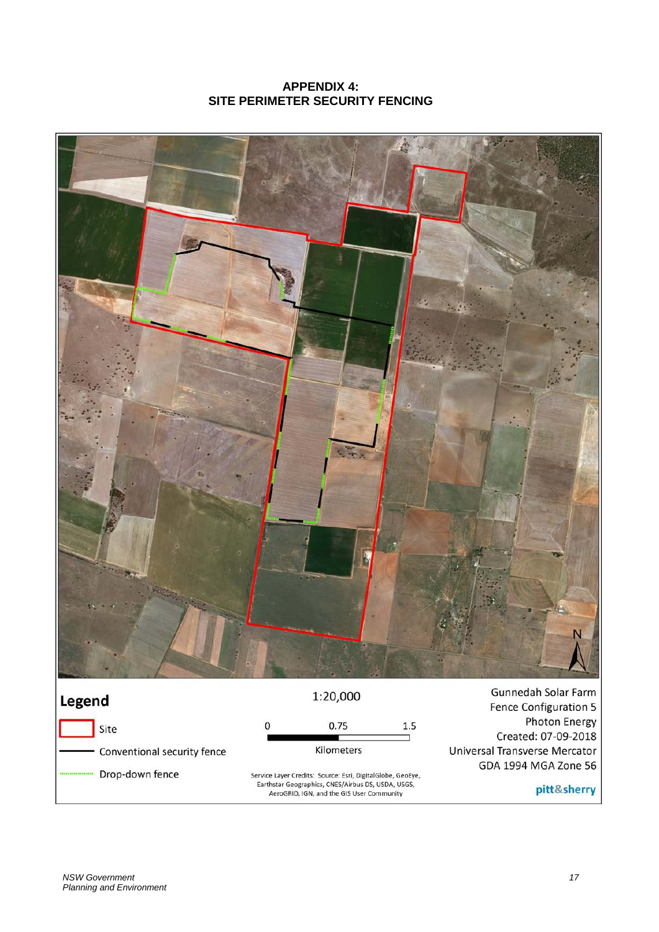# **APPENDIX 4: SITE PERIMETER SECURITY FENCING**

<span id="page-16-0"></span>